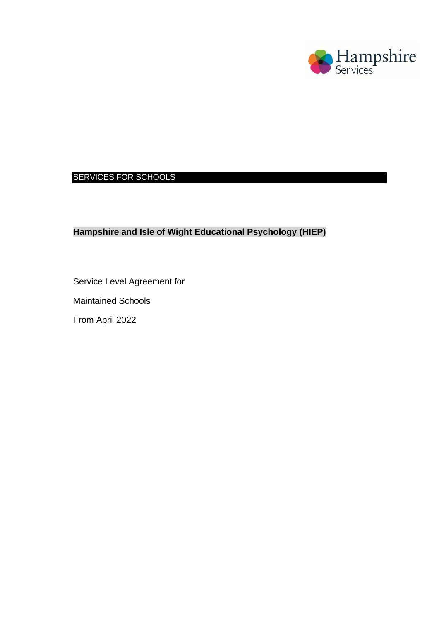

## SERVICES FOR SCHOOLS

## **Hampshire and Isle of Wight Educational Psychology (HIEP)**

Service Level Agreement for

Maintained Schools

From April 2022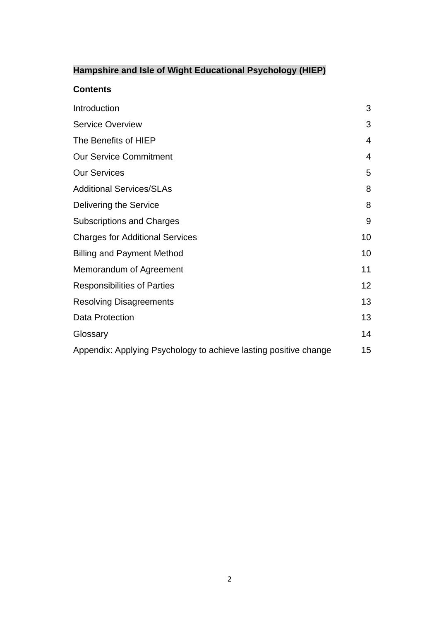# **Hampshire and Isle of Wight Educational Psychology (HIEP)**

### **Contents**

| Introduction                                                     | 3  |
|------------------------------------------------------------------|----|
| <b>Service Overview</b>                                          | 3  |
| The Benefits of HIEP                                             | 4  |
| <b>Our Service Commitment</b>                                    | 4  |
| <b>Our Services</b>                                              | 5  |
| <b>Additional Services/SLAs</b>                                  | 8  |
| Delivering the Service                                           | 8  |
| <b>Subscriptions and Charges</b>                                 | 9  |
| <b>Charges for Additional Services</b>                           | 10 |
| <b>Billing and Payment Method</b>                                | 10 |
| Memorandum of Agreement                                          | 11 |
| <b>Responsibilities of Parties</b>                               | 12 |
| <b>Resolving Disagreements</b>                                   | 13 |
| Data Protection                                                  | 13 |
| Glossary                                                         | 14 |
| Appendix: Applying Psychology to achieve lasting positive change | 15 |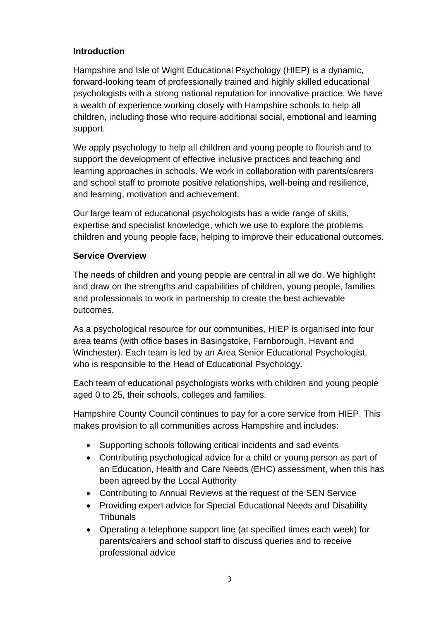### **Introduction**

Hampshire and Isle of Wight Educational Psychology (HIEP) is a dynamic, forward-looking team of professionally trained and highly skilled educational psychologists with a strong national reputation for innovative practice. We have a wealth of experience working closely with Hampshire schools to help all children, including those who require additional social, emotional and learning support.

We apply psychology to help all children and young people to flourish and to support the development of effective inclusive practices and teaching and learning approaches in schools. We work in collaboration with parents/carers and school staff to promote positive relationships, well-being and resilience, and learning, motivation and achievement.

Our large team of educational psychologists has a wide range of skills, expertise and specialist knowledge, which we use to explore the problems children and young people face, helping to improve their educational outcomes.

### **Service Overview**

The needs of children and young people are central in all we do. We highlight and draw on the strengths and capabilities of children, young people, families and professionals to work in partnership to create the best achievable outcomes.

As a psychological resource for our communities, HIEP is organised into four area teams (with office bases in Basingstoke, Farnborough, Havant and Winchester). Each team is led by an Area Senior Educational Psychologist, who is responsible to the Head of Educational Psychology.

Each team of educational psychologists works with children and young people aged 0 to 25, their schools, colleges and families.

Hampshire County Council continues to pay for a core service from HIEP. This makes provision to all communities across Hampshire and includes:

- Supporting schools following critical incidents and sad events
- Contributing psychological advice for a child or young person as part of an Education, Health and Care Needs (EHC) assessment, when this has been agreed by the Local Authority
- Contributing to Annual Reviews at the request of the SEN Service
- Providing expert advice for Special Educational Needs and Disability **Tribunals**
- Operating a telephone support line (at specified times each week) for parents/carers and school staff to discuss queries and to receive professional advice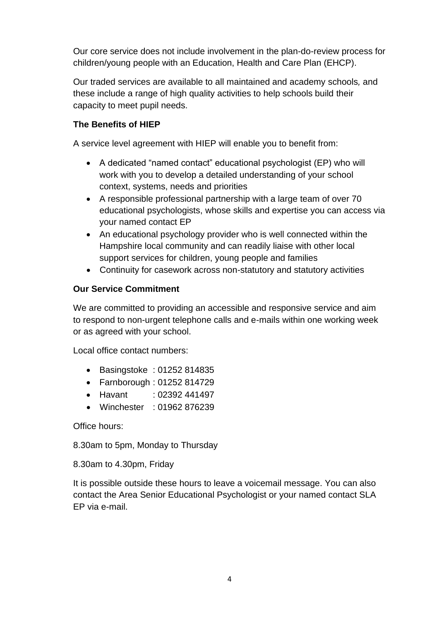Our core service does not include involvement in the plan-do-review process for children/young people with an Education, Health and Care Plan (EHCP).

Our traded services are available to all maintained and academy schools*,* and these include a range of high quality activities to help schools build their capacity to meet pupil needs.

### **The Benefits of HIEP**

A service level agreement with HIEP will enable you to benefit from:

- A dedicated "named contact" educational psychologist (EP) who will work with you to develop a detailed understanding of your school context, systems, needs and priorities
- A responsible professional partnership with a large team of over 70 educational psychologists, whose skills and expertise you can access via your named contact EP
- An educational psychology provider who is well connected within the Hampshire local community and can readily liaise with other local support services for children, young people and families
- Continuity for casework across non-statutory and statutory activities

### **Our Service Commitment**

We are committed to providing an accessible and responsive service and aim to respond to non-urgent telephone calls and e-mails within one working week or as agreed with your school.

Local office contact numbers:

- Basingstoke : 01252 814835
- Farnborough : 01252 814729
- Havant :  $02392\,441497$
- Winchester : 01962 876239

Office hours:

8.30am to 5pm, Monday to Thursday

8.30am to 4.30pm, Friday

It is possible outside these hours to leave a voicemail message. You can also contact the Area Senior Educational Psychologist or your named contact SLA EP via e-mail.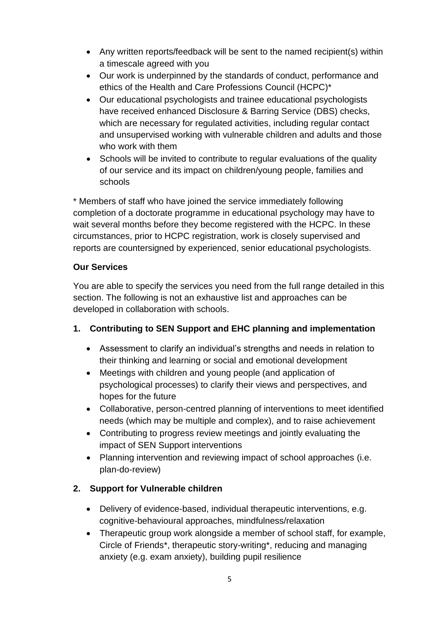- Any written reports/feedback will be sent to the named recipient(s) within a timescale agreed with you
- Our work is underpinned by the standards of conduct, performance and ethics of the Health and Care Professions Council (HCPC)\*
- Our educational psychologists and trainee educational psychologists have received enhanced Disclosure & Barring Service (DBS) checks, which are necessary for regulated activities, including regular contact and unsupervised working with vulnerable children and adults and those who work with them
- Schools will be invited to contribute to regular evaluations of the quality of our service and its impact on children/young people, families and schools

\* Members of staff who have joined the service immediately following completion of a doctorate programme in educational psychology may have to wait several months before they become registered with the HCPC. In these circumstances, prior to HCPC registration, work is closely supervised and reports are countersigned by experienced, senior educational psychologists.

### **Our Services**

You are able to specify the services you need from the full range detailed in this section. The following is not an exhaustive list and approaches can be developed in collaboration with schools.

## **1. Contributing to SEN Support and EHC planning and implementation**

- Assessment to clarify an individual's strengths and needs in relation to their thinking and learning or social and emotional development
- Meetings with children and young people (and application of psychological processes) to clarify their views and perspectives, and hopes for the future
- Collaborative, person-centred planning of interventions to meet identified needs (which may be multiple and complex), and to raise achievement
- Contributing to progress review meetings and jointly evaluating the impact of SEN Support interventions
- Planning intervention and reviewing impact of school approaches (i.e. plan-do-review)

## **2. Support for Vulnerable children**

- Delivery of evidence-based, individual therapeutic interventions, e.g. cognitive-behavioural approaches, mindfulness/relaxation
- Therapeutic group work alongside a member of school staff, for example, Circle of Friends\*, therapeutic story-writing\*, reducing and managing anxiety (e.g. exam anxiety), building pupil resilience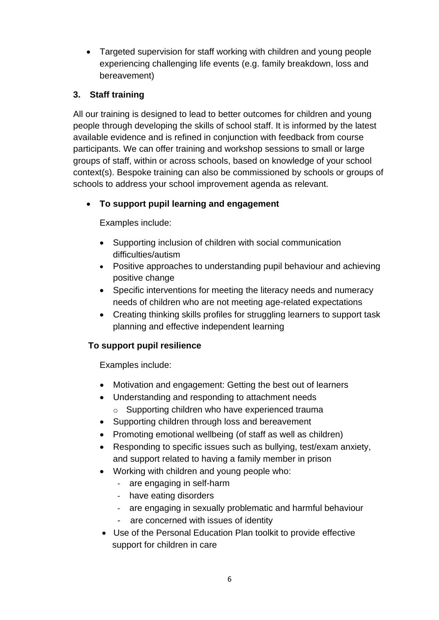• Targeted supervision for staff working with children and young people experiencing challenging life events (e.g. family breakdown, loss and bereavement)

## **3. Staff training**

All our training is designed to lead to better outcomes for children and young people through developing the skills of school staff. It is informed by the latest available evidence and is refined in conjunction with feedback from course participants. We can offer training and workshop sessions to small or large groups of staff, within or across schools, based on knowledge of your school context(s). Bespoke training can also be commissioned by schools or groups of schools to address your school improvement agenda as relevant.

## • **To support pupil learning and engagement**

Examples include:

- Supporting inclusion of children with social communication difficulties/autism
- Positive approaches to understanding pupil behaviour and achieving positive change
- Specific interventions for meeting the literacy needs and numeracy needs of children who are not meeting age-related expectations
- Creating thinking skills profiles for struggling learners to support task planning and effective independent learning

## **To support pupil resilience**

Examples include:

- Motivation and engagement: Getting the best out of learners
- Understanding and responding to attachment needs
	- o Supporting children who have experienced trauma
- Supporting children through loss and bereavement
- Promoting emotional wellbeing (of staff as well as children)
- Responding to specific issues such as bullying, test/exam anxiety, and support related to having a family member in prison
- Working with children and young people who:
	- are engaging in self-harm
	- have eating disorders
	- are engaging in sexually problematic and harmful behaviour
	- are concerned with issues of identity
- Use of the Personal Education Plan toolkit to provide effective support for children in care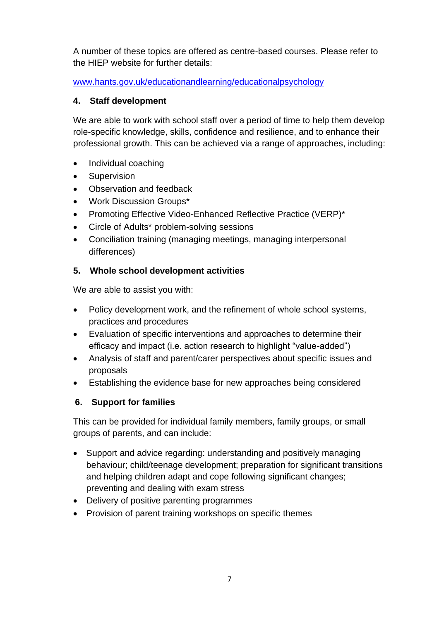A number of these topics are offered as centre-based courses. Please refer to the HIEP website for further details:

[www.hants.gov.uk/educationandlearning/educationalpsychology](http://www.hants.gov.uk/educationandlearning/educationalpsychology)

## **4. Staff development**

We are able to work with school staff over a period of time to help them develop role-specific knowledge, skills, confidence and resilience, and to enhance their professional growth. This can be achieved via a range of approaches, including:

- Individual coaching
- **Supervision**
- Observation and feedback
- Work Discussion Groups\*
- Promoting Effective Video-Enhanced Reflective Practice (VERP)\*
- Circle of Adults\* problem-solving sessions
- Conciliation training (managing meetings, managing interpersonal differences)

## **5. Whole school development activities**

We are able to assist you with:

- Policy development work, and the refinement of whole school systems, practices and procedures
- Evaluation of specific interventions and approaches to determine their efficacy and impact (i.e. action research to highlight "value-added")
- Analysis of staff and parent/carer perspectives about specific issues and proposals
- Establishing the evidence base for new approaches being considered

## **6. Support for families**

This can be provided for individual family members, family groups, or small groups of parents, and can include:

- Support and advice regarding: understanding and positively managing behaviour; child/teenage development; preparation for significant transitions and helping children adapt and cope following significant changes; preventing and dealing with exam stress
- Delivery of positive parenting programmes
- Provision of parent training workshops on specific themes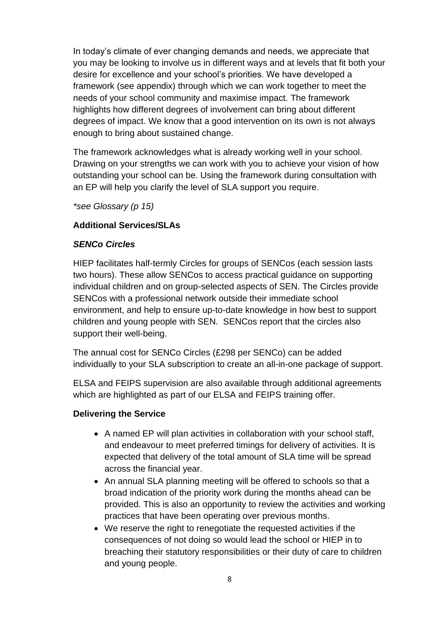In today's climate of ever changing demands and needs, we appreciate that you may be looking to involve us in different ways and at levels that fit both your desire for excellence and your school's priorities. We have developed a framework (see appendix) through which we can work together to meet the needs of your school community and maximise impact. The framework highlights how different degrees of involvement can bring about different degrees of impact. We know that a good intervention on its own is not always enough to bring about sustained change.

The framework acknowledges what is already working well in your school. Drawing on your strengths we can work with you to achieve your vision of how outstanding your school can be. Using the framework during consultation with an EP will help you clarify the level of SLA support you require.

*\*see Glossary (p 15)*

### **Additional Services/SLAs**

### *SENCo Circles*

HIEP facilitates half-termly Circles for groups of SENCos (each session lasts two hours). These allow SENCos to access practical guidance on supporting individual children and on group-selected aspects of SEN. The Circles provide SENCos with a professional network outside their immediate school environment, and help to ensure up-to-date knowledge in how best to support children and young people with SEN. SENCos report that the circles also support their well-being.

The annual cost for SENCo Circles (£298 per SENCo) can be added individually to your SLA subscription to create an all-in-one package of support.

ELSA and FEIPS supervision are also available through additional agreements which are highlighted as part of our ELSA and FEIPS training offer.

### **Delivering the Service**

- A named EP will plan activities in collaboration with your school staff, and endeavour to meet preferred timings for delivery of activities. It is expected that delivery of the total amount of SLA time will be spread across the financial year.
- An annual SLA planning meeting will be offered to schools so that a broad indication of the priority work during the months ahead can be provided. This is also an opportunity to review the activities and working practices that have been operating over previous months.
- We reserve the right to renegotiate the requested activities if the consequences of not doing so would lead the school or HIEP in to breaching their statutory responsibilities or their duty of care to children and young people.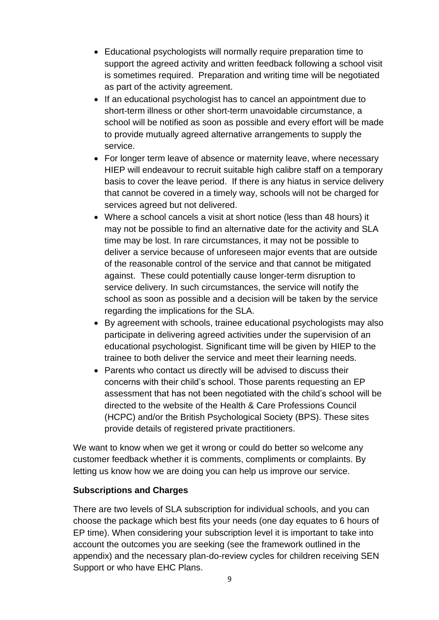- Educational psychologists will normally require preparation time to support the agreed activity and written feedback following a school visit is sometimes required. Preparation and writing time will be negotiated as part of the activity agreement.
- If an educational psychologist has to cancel an appointment due to short-term illness or other short-term unavoidable circumstance, a school will be notified as soon as possible and every effort will be made to provide mutually agreed alternative arrangements to supply the service.
- For longer term leave of absence or maternity leave, where necessary HIEP will endeavour to recruit suitable high calibre staff on a temporary basis to cover the leave period. If there is any hiatus in service delivery that cannot be covered in a timely way, schools will not be charged for services agreed but not delivered.
- Where a school cancels a visit at short notice (less than 48 hours) it may not be possible to find an alternative date for the activity and SLA time may be lost. In rare circumstances, it may not be possible to deliver a service because of unforeseen major events that are outside of the reasonable control of the service and that cannot be mitigated against. These could potentially cause longer-term disruption to service delivery. In such circumstances, the service will notify the school as soon as possible and a decision will be taken by the service regarding the implications for the SLA.
- By agreement with schools, trainee educational psychologists may also participate in delivering agreed activities under the supervision of an educational psychologist. Significant time will be given by HIEP to the trainee to both deliver the service and meet their learning needs.
- Parents who contact us directly will be advised to discuss their concerns with their child's school. Those parents requesting an EP assessment that has not been negotiated with the child's school will be directed to the website of the Health & Care Professions Council (HCPC) and/or the British Psychological Society (BPS). These sites provide details of registered private practitioners.

We want to know when we get it wrong or could do better so welcome any customer feedback whether it is comments, compliments or complaints. By letting us know how we are doing you can help us improve our service.

### **Subscriptions and Charges**

There are two levels of SLA subscription for individual schools, and you can choose the package which best fits your needs (one day equates to 6 hours of EP time). When considering your subscription level it is important to take into account the outcomes you are seeking (see the framework outlined in the appendix) and the necessary plan-do-review cycles for children receiving SEN Support or who have EHC Plans.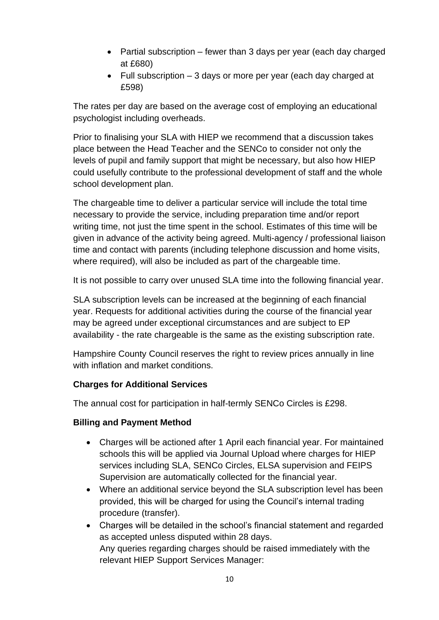- Partial subscription fewer than 3 days per year (each day charged at £680)
- Full subscription 3 days or more per year (each day charged at £598)

The rates per day are based on the average cost of employing an educational psychologist including overheads.

Prior to finalising your SLA with HIEP we recommend that a discussion takes place between the Head Teacher and the SENCo to consider not only the levels of pupil and family support that might be necessary, but also how HIEP could usefully contribute to the professional development of staff and the whole school development plan.

The chargeable time to deliver a particular service will include the total time necessary to provide the service, including preparation time and/or report writing time, not just the time spent in the school. Estimates of this time will be given in advance of the activity being agreed. Multi-agency / professional liaison time and contact with parents (including telephone discussion and home visits, where required), will also be included as part of the chargeable time.

It is not possible to carry over unused SLA time into the following financial year.

SLA subscription levels can be increased at the beginning of each financial year. Requests for additional activities during the course of the financial year may be agreed under exceptional circumstances and are subject to EP availability - the rate chargeable is the same as the existing subscription rate.

Hampshire County Council reserves the right to review prices annually in line with inflation and market conditions.

## **Charges for Additional Services**

The annual cost for participation in half-termly SENCo Circles is £298.

### **Billing and Payment Method**

- Charges will be actioned after 1 April each financial year. For maintained schools this will be applied via Journal Upload where charges for HIEP services including SLA, SENCo Circles, ELSA supervision and FEIPS Supervision are automatically collected for the financial year.
- Where an additional service bevond the SLA subscription level has been provided, this will be charged for using the Council's internal trading procedure (transfer).
- Charges will be detailed in the school's financial statement and regarded as accepted unless disputed within 28 days. Any queries regarding charges should be raised immediately with the relevant HIEP Support Services Manager: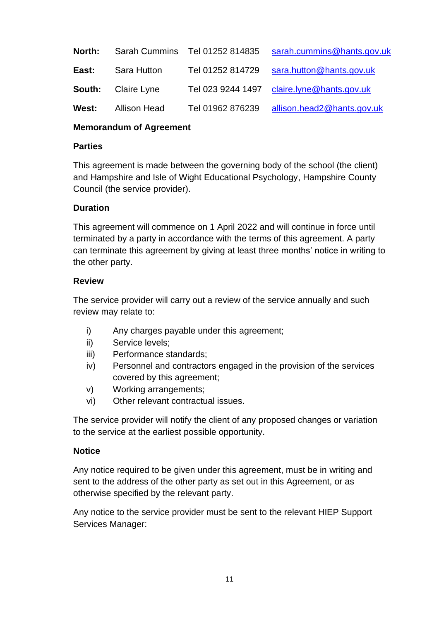| North: |                     | Sarah Cummins Tel 01252 814835 | sarah.cummins@hants.gov.uk |
|--------|---------------------|--------------------------------|----------------------------|
| East:  | Sara Hutton         | Tel 01252 814729               | sara.hutton@hants.gov.uk   |
| South: | Claire Lyne         | Tel 023 9244 1497              | claire.lyne@hants.gov.uk   |
| West:  | <b>Allison Head</b> | Tel 01962 876239               | allison.head2@hants.gov.uk |

#### **Memorandum of Agreement**

#### **Parties**

This agreement is made between the governing body of the school (the client) and Hampshire and Isle of Wight Educational Psychology, Hampshire County Council (the service provider).

#### **Duration**

This agreement will commence on 1 April 2022 and will continue in force until terminated by a party in accordance with the terms of this agreement. A party can terminate this agreement by giving at least three months' notice in writing to the other party.

#### **Review**

The service provider will carry out a review of the service annually and such review may relate to:

- i) Any charges payable under this agreement;
- ii) Service levels;
- iii) Performance standards;
- iv) Personnel and contractors engaged in the provision of the services covered by this agreement;
- v) Working arrangements;
- vi) Other relevant contractual issues.

The service provider will notify the client of any proposed changes or variation to the service at the earliest possible opportunity.

#### **Notice**

Any notice required to be given under this agreement, must be in writing and sent to the address of the other party as set out in this Agreement, or as otherwise specified by the relevant party.

Any notice to the service provider must be sent to the relevant HIEP Support Services Manager: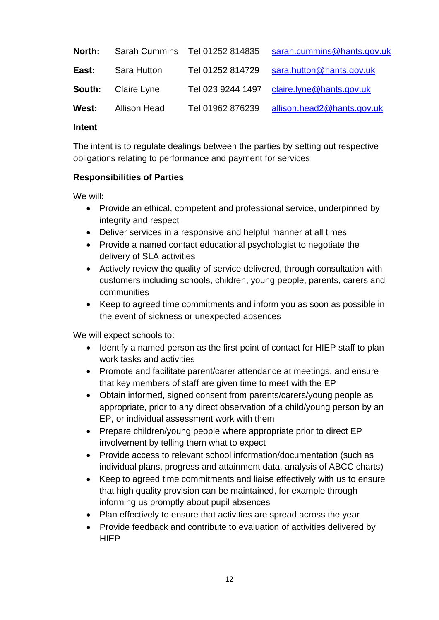| North: |              | Sarah Cummins Tel 01252 814835 | sarah.cummins@hants.gov.uk |
|--------|--------------|--------------------------------|----------------------------|
| East:  | Sara Hutton  | Tel 01252 814729               | sara.hutton@hants.gov.uk   |
| South: | Claire Lyne  | Tel 023 9244 1497              | claire.lyne@hants.gov.uk   |
| West:  | Allison Head | Tel 01962 876239               | allison.head2@hants.gov.uk |

#### **Intent**

The intent is to regulate dealings between the parties by setting out respective obligations relating to performance and payment for services

#### **Responsibilities of Parties**

We will:

- Provide an ethical, competent and professional service, underpinned by integrity and respect
- Deliver services in a responsive and helpful manner at all times
- Provide a named contact educational psychologist to negotiate the delivery of SLA activities
- Actively review the quality of service delivered, through consultation with customers including schools, children, young people, parents, carers and communities
- Keep to agreed time commitments and inform you as soon as possible in the event of sickness or unexpected absences

We will expect schools to:

- Identify a named person as the first point of contact for HIEP staff to plan work tasks and activities
- Promote and facilitate parent/carer attendance at meetings, and ensure that key members of staff are given time to meet with the EP
- Obtain informed, signed consent from parents/carers/young people as appropriate, prior to any direct observation of a child/young person by an EP, or individual assessment work with them
- Prepare children/young people where appropriate prior to direct EP involvement by telling them what to expect
- Provide access to relevant school information/documentation (such as individual plans, progress and attainment data, analysis of ABCC charts)
- Keep to agreed time commitments and liaise effectively with us to ensure that high quality provision can be maintained, for example through informing us promptly about pupil absences
- Plan effectively to ensure that activities are spread across the year
- Provide feedback and contribute to evaluation of activities delivered by **HIFP**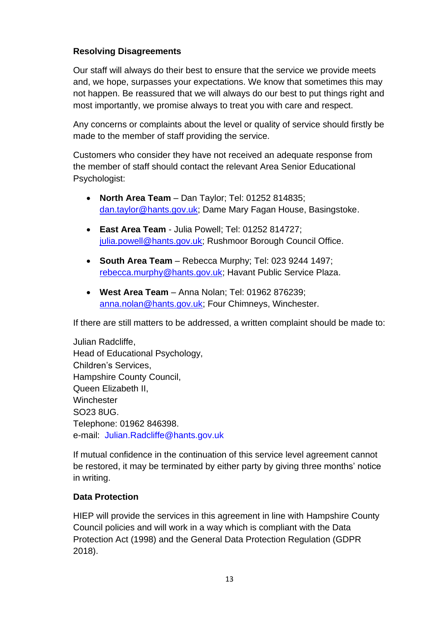### **Resolving Disagreements**

Our staff will always do their best to ensure that the service we provide meets and, we hope, surpasses your expectations. We know that sometimes this may not happen. Be reassured that we will always do our best to put things right and most importantly, we promise always to treat you with care and respect.

Any concerns or complaints about the level or quality of service should firstly be made to the member of staff providing the service.

Customers who consider they have not received an adequate response from the member of staff should contact the relevant Area Senior Educational Psychologist:

- **North Area Team** Dan Taylor; Tel: 01252 814835; [dan.taylor@hants.gov.uk;](mailto:dan.taylor@hants.gov.uk) Dame Mary Fagan House, Basingstoke.
- **East Area Team** Julia Powell; Tel: 01252 814727; [julia.powell@hants.gov.uk;](mailto:julia.powell@hants.gov.uk) Rushmoor Borough Council Office.
- **South Area Team** Rebecca Murphy; Tel: 023 9244 1497; [rebecca.murphy@hants.gov.uk;](mailto:rebecca.murphy@hants.gov.uk) Havant Public Service Plaza.
- **West Area Team** Anna Nolan; Tel: 01962 876239; [anna.nolan@hants.gov.uk;](mailto:anna.nolan@hants.gov.uk) Four Chimneys, Winchester.

If there are still matters to be addressed, a written complaint should be made to:

Julian Radcliffe, Head of Educational Psychology, Children's Services, Hampshire County Council, Queen Elizabeth II, **Winchester** SO23 8UG. Telephone: 01962 846398. e-mail: Julian.Radcliffe@hants.gov.uk

If mutual confidence in the continuation of this service level agreement cannot be restored, it may be terminated by either party by giving three months' notice in writing.

### **Data Protection**

HIEP will provide the services in this agreement in line with Hampshire County Council policies and will work in a way which is compliant with the Data Protection Act (1998) and the General Data Protection Regulation (GDPR 2018).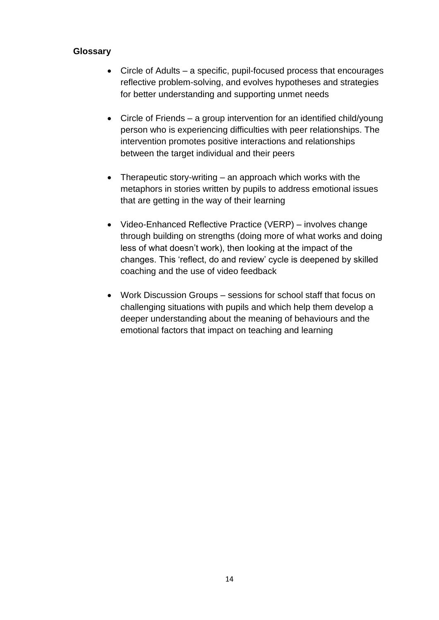### **Glossary**

- Circle of Adults a specific, pupil-focused process that encourages reflective problem-solving, and evolves hypotheses and strategies for better understanding and supporting unmet needs
- Circle of Friends a group intervention for an identified child/young person who is experiencing difficulties with peer relationships. The intervention promotes positive interactions and relationships between the target individual and their peers
- Therapeutic story-writing an approach which works with the metaphors in stories written by pupils to address emotional issues that are getting in the way of their learning
- Video-Enhanced Reflective Practice (VERP) involves change through building on strengths (doing more of what works and doing less of what doesn't work), then looking at the impact of the changes. This 'reflect, do and review' cycle is deepened by skilled coaching and the use of video feedback
- Work Discussion Groups sessions for school staff that focus on challenging situations with pupils and which help them develop a deeper understanding about the meaning of behaviours and the emotional factors that impact on teaching and learning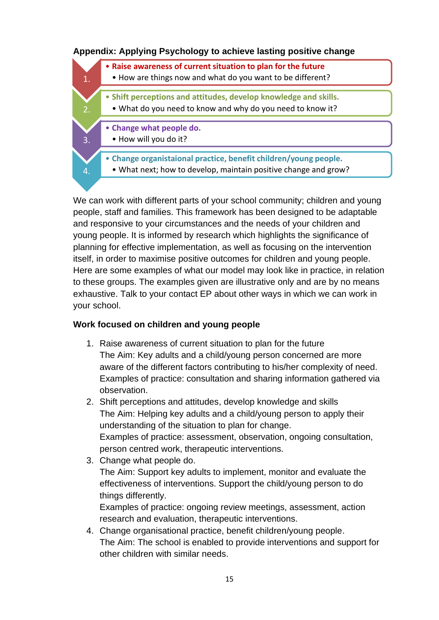### **Appendix: Applying Psychology to achieve lasting positive change**

|    | • Raise awareness of current situation to plan for the future<br>• How are things now and what do you want to be different?         |
|----|-------------------------------------------------------------------------------------------------------------------------------------|
| 2. | • Shift perceptions and attitudes, develop knowledge and skills.<br>. What do you need to know and why do you need to know it?      |
| 3. | • Change what people do.<br>• How will you do it?                                                                                   |
| 4. | • Change organistaional practice, benefit children/young people.<br>. What next; how to develop, maintain positive change and grow? |

We can work with different parts of your school community; children and young people, staff and families. This framework has been designed to be adaptable and responsive to your circumstances and the needs of your children and young people. It is informed by research which highlights the significance of planning for effective implementation, as well as focusing on the intervention itself, in order to maximise positive outcomes for children and young people. Here are some examples of what our model may look like in practice, in relation to these groups. The examples given are illustrative only and are by no means exhaustive. Talk to your contact EP about other ways in which we can work in your school.

#### **Work focused on children and young people**

- 1. Raise awareness of current situation to plan for the future The Aim: Key adults and a child/young person concerned are more aware of the different factors contributing to his/her complexity of need. Examples of practice: consultation and sharing information gathered via observation.
- 2. Shift perceptions and attitudes, develop knowledge and skills The Aim: Helping key adults and a child/young person to apply their understanding of the situation to plan for change. Examples of practice: assessment, observation, ongoing consultation, person centred work, therapeutic interventions.
- 3. Change what people do. The Aim: Support key adults to implement, monitor and evaluate the effectiveness of interventions. Support the child/young person to do things differently.

Examples of practice: ongoing review meetings, assessment, action research and evaluation, therapeutic interventions.

4. Change organisational practice, benefit children/young people. The Aim: The school is enabled to provide interventions and support for other children with similar needs.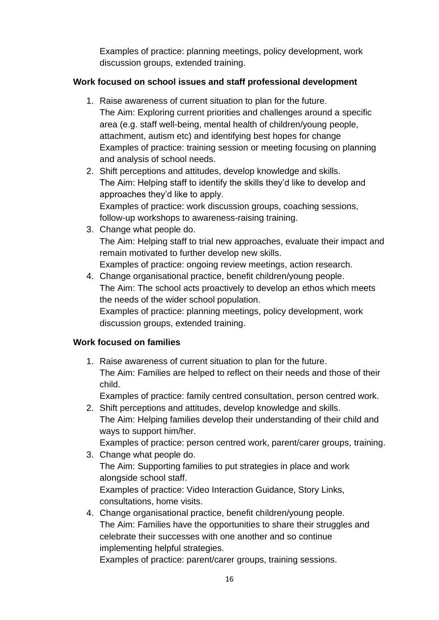Examples of practice: planning meetings, policy development, work discussion groups, extended training.

## **Work focused on school issues and staff professional development**

- 1. Raise awareness of current situation to plan for the future. The Aim: Exploring current priorities and challenges around a specific area (e.g. staff well-being, mental health of children/young people, attachment, autism etc) and identifying best hopes for change Examples of practice: training session or meeting focusing on planning and analysis of school needs.
- 2. Shift perceptions and attitudes, develop knowledge and skills. The Aim: Helping staff to identify the skills they'd like to develop and approaches they'd like to apply. Examples of practice: work discussion groups, coaching sessions, follow-up workshops to awareness-raising training.
- 3. Change what people do. The Aim: Helping staff to trial new approaches, evaluate their impact and remain motivated to further develop new skills. Examples of practice: ongoing review meetings, action research.
- 4. Change organisational practice, benefit children/young people. The Aim: The school acts proactively to develop an ethos which meets the needs of the wider school population. Examples of practice: planning meetings, policy development, work discussion groups, extended training.

## **Work focused on families**

1. Raise awareness of current situation to plan for the future. The Aim: Families are helped to reflect on their needs and those of their child.

Examples of practice: family centred consultation, person centred work.

2. Shift perceptions and attitudes, develop knowledge and skills. The Aim: Helping families develop their understanding of their child and ways to support him/her.

Examples of practice: person centred work, parent/carer groups, training.

- 3. Change what people do. The Aim: Supporting families to put strategies in place and work alongside school staff. Examples of practice: Video Interaction Guidance, Story Links, consultations, home visits.
- 4. Change organisational practice, benefit children/young people. The Aim: Families have the opportunities to share their struggles and celebrate their successes with one another and so continue implementing helpful strategies.

Examples of practice: parent/carer groups, training sessions.